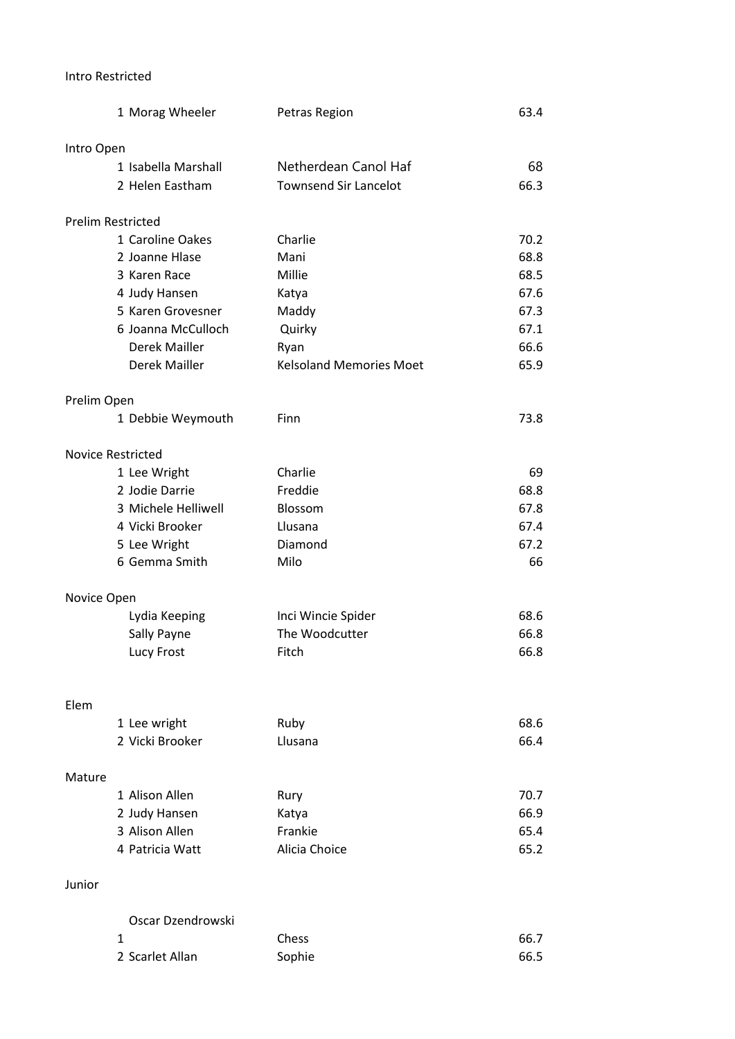## Intro Restricted

| 1 Morag Wheeler                 | Petras Region                  | 63.4 |
|---------------------------------|--------------------------------|------|
| Intro Open                      |                                |      |
| 1 Isabella Marshall             | Netherdean Canol Haf           | 68   |
| 2 Helen Eastham                 | <b>Townsend Sir Lancelot</b>   | 66.3 |
| <b>Prelim Restricted</b>        |                                |      |
| 1 Caroline Oakes                | Charlie                        | 70.2 |
| 2 Joanne Hlase                  | Mani                           | 68.8 |
| 3 Karen Race                    | Millie                         | 68.5 |
| 4 Judy Hansen                   | Katya                          | 67.6 |
| 5 Karen Grovesner               | Maddy                          | 67.3 |
| 6 Joanna McCulloch              | Quirky                         | 67.1 |
| Derek Mailler                   | Ryan                           | 66.6 |
| Derek Mailler                   | <b>Kelsoland Memories Moet</b> | 65.9 |
| Prelim Open                     |                                |      |
| 1 Debbie Weymouth               | Finn                           | 73.8 |
| <b>Novice Restricted</b>        |                                |      |
| 1 Lee Wright                    | Charlie                        | 69   |
| 2 Jodie Darrie                  | Freddie                        | 68.8 |
| 3 Michele Helliwell             | Blossom                        | 67.8 |
| 4 Vicki Brooker                 | Llusana                        | 67.4 |
| 5 Lee Wright                    | Diamond                        | 67.2 |
| 6 Gemma Smith                   | Milo                           | 66   |
| Novice Open                     |                                |      |
| Lydia Keeping                   | Inci Wincie Spider             | 68.6 |
| Sally Payne                     | The Woodcutter                 | 66.8 |
| Lucy Frost                      | Fitch                          | 66.8 |
| Elem                            |                                |      |
|                                 | Ruby                           | 68.6 |
| 1 Lee wright<br>2 Vicki Brooker | Llusana                        | 66.4 |
|                                 |                                |      |
| Mature                          |                                |      |
| 1 Alison Allen                  | Rury                           | 70.7 |
| 2 Judy Hansen                   | Katya                          | 66.9 |
| 3 Alison Allen                  | Frankie                        | 65.4 |
| 4 Patricia Watt                 | Alicia Choice                  | 65.2 |
| Junior                          |                                |      |
| Oscar Dzendrowski               |                                |      |

| _______________ |              |      |
|-----------------|--------------|------|
|                 | <b>Chess</b> | 66.7 |
| 2 Scarlet Allan | Sophie       | 66.5 |